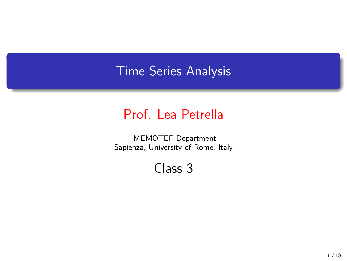## Time Series Analysis

## Prof. Lea Petrella

MEMOTEF Department Sapienza, University of Rome, Italy

Class 3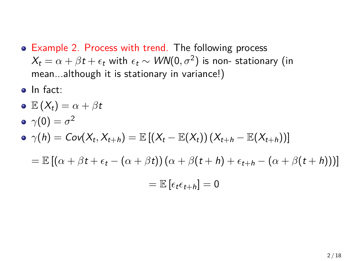- Example 2. Process with trend. The following process  $X_t = \alpha + \beta t + \epsilon_t$  with  $\epsilon_t \sim \textit{WN}(0, \sigma^2)$  is non- stationary (in mean...although it is stationary in variance!)
- o In fact:
- $\mathbf{E}(X_t) = \alpha + \beta t$  $\gamma(0) = \sigma^2$  $\gamma(h) = \mathsf{Cov}(X_t, X_{t+h}) = \mathbb{E}\left[\left(X_t - \mathbb{E}(X_t)\right)\left(X_{t+h} - \mathbb{E}(X_{t+h})\right)\right]$  $=$   $\mathbb{E}[(\alpha + \beta t + \epsilon_t - (\alpha + \beta t))(\alpha + \beta (t + h) + \epsilon_{t+h} - (\alpha + \beta (t + h)))]$  $=\mathbb{E} \left[\epsilon_t \epsilon_{t+h}\right] = 0$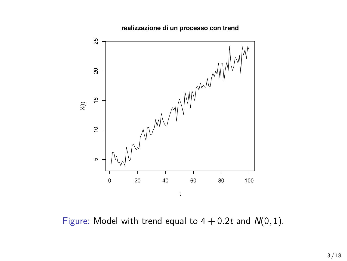



Figure: Model with trend equal to  $4 + 0.2t$  and  $N(0, 1)$ .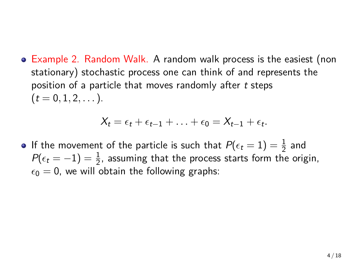Example 2. Random Walk. A random walk process is the easiest (non stationary) stochastic process one can think of and represents the position of a particle that moves randomly after *t* steps  $(t = 0, 1, 2, ...)$ .

$$
X_t = \epsilon_t + \epsilon_{t-1} + \ldots + \epsilon_0 = X_{t-1} + \epsilon_t.
$$

If the movement of the particle is such that  $P(\epsilon_t = 1) = \frac{1}{2}$  and  $P(\epsilon_t = -1) = \frac{1}{2}$ , assuming that the process starts form the origin,  $\epsilon_0 = 0$ , we will obtain the following graphs: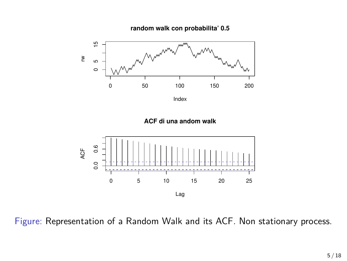







Figure: Representation of a Random Walk and its ACF. Non stationary process.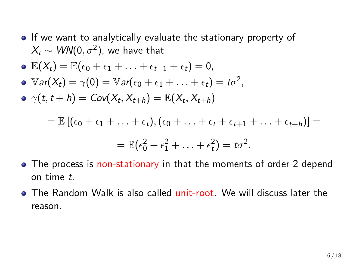• If we want to analytically evaluate the stationary property of  $X_t \sim \mathit{WN}(0, \sigma^2)$ , we have that

$$
\bullet \mathbb{E}(X_t) = \mathbb{E}(\epsilon_0 + \epsilon_1 + \ldots + \epsilon_{t-1} + \epsilon_t) = 0,
$$

- $\mathbb{V}$ *ar*( $X_t$ ) =  $\gamma$ (0) =  $\mathbb{V}$ *ar*( $\epsilon_0$  +  $\epsilon_1$  +  $\dots$  +  $\epsilon_t$ ) =  $t\sigma^2$ ,
- *γ*(*t*, *t* + *h*) = *Cov*(*X*<sub>*t*</sub>, *X*<sub>*t*+*h*</sub>) =  $\mathbb{E}(X_t, X_{t+h})$

$$
= \mathbb{E} [(\epsilon_0 + \epsilon_1 + \ldots + \epsilon_t), (\epsilon_0 + \ldots + \epsilon_t + \epsilon_{t+1} + \ldots + \epsilon_{t+h})] =
$$
  

$$
= \mathbb{E}(\epsilon_0^2 + \epsilon_1^2 + \ldots + \epsilon_t^2) = t\sigma^2.
$$

- The process is non-stationary in that the moments of order 2 depend on time *t*.
- The Random Walk is also called unit-root. We will discuss later the reason.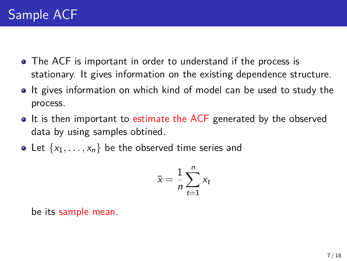- The ACF is important in order to understand if the process is stationary. It gives information on the existing dependence structure.
- If gives information on which kind of model can be used to study the process.
- It is then important to estimate the ACF generated by the observed data by using samples obtined.
- Let  $\{x_1, \ldots, x_n\}$  be the observed time series and

$$
\bar{x} = \frac{1}{n} \sum_{t=1}^{n} x_t
$$

be its sample mean.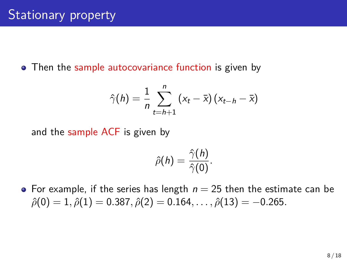• Then the sample autocovariance function is given by

$$
\hat{\gamma}(h) = \frac{1}{n} \sum_{t=h+1}^{n} (x_t - \bar{x}) (x_{t-h} - \bar{x})
$$

and the sample ACF is given by

$$
\hat{\rho}(h)=\frac{\hat{\gamma}(h)}{\hat{\gamma}(0)}.
$$

• For example, if the series has length  $n = 25$  then the estimate can be  $\hat{\rho}(0) = 1$ ,  $\hat{\rho}(1) = 0.387$ ,  $\hat{\rho}(2) = 0.164$ , . . . ,  $\hat{\rho}(13) = -0.265$ .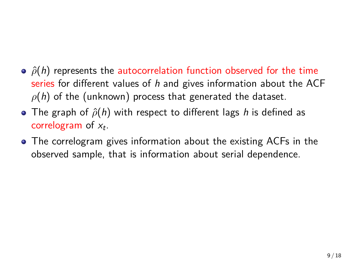- **•**  $\hat{\rho}(h)$  represents the autocorrelation function observed for the time series for different values of *h* and gives information about the ACF *ρ*(*h*) of the (unknown) process that generated the dataset.
- The graph of *ρ*ˆ(*h*) with respect to different lags *h* is defined as correlogram of *x<sup>t</sup>* .
- The correlogram gives information about the existing ACFs in the observed sample, that is information about serial dependence.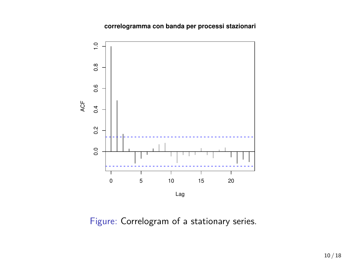**correlogramma con banda per processi stazionari**



Figure: Correlogram of a stationary series.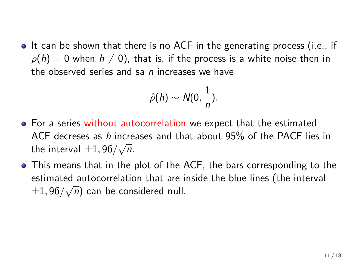• It can be shown that there is no ACF in the generating process (i.e., if  $\rho(h) = 0$  when  $h \neq 0$ ), that is, if the process is a white noise then in the observed series and sa *n* increases we have

$$
\hat{\rho}(h) \sim N(0, \frac{1}{n}).
$$

- **•** For a series without autocorrelation we expect that the estimated ACF decreses as *h* increases and that about 95% of the PACF lies in the interval  $\pm 1,96/\sqrt{n}$ .
- This means that in the plot of the ACF, the bars corresponding to the estimated autocorrelation that are inside the blue lines (the interval *±*1*,* 96*/ √ n*) can be considered null.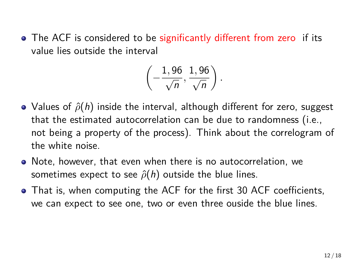• The ACF is considered to be significantly different from zero if its value lies outside the interval

$$
\left(-\frac{1,96}{\sqrt{n}},\frac{1,96}{\sqrt{n}}\right).
$$

- Values of *ρ*ˆ(*h*) inside the interval, although different for zero, suggest that the estimated autocorrelation can be due to randomness (i.e., not being a property of the process). Think about the correlogram of the white noise.
- Note, however, that even when there is no autocorrelation, we sometimes expect to see  $\hat{\rho}(h)$  outside the blue lines.
- That is, when computing the ACF for the first 30 ACF coefficients, we can expect to see one, two or even three ouside the blue lines.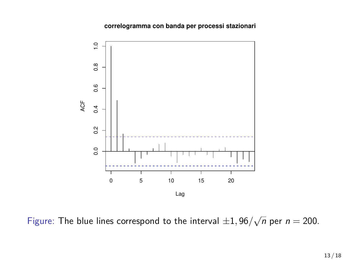**correlogramma con banda per processi stazionari**



Figure: The blue lines correspond to the interval  $\pm 1,96/\sqrt{n}$  per  $n = 200$ .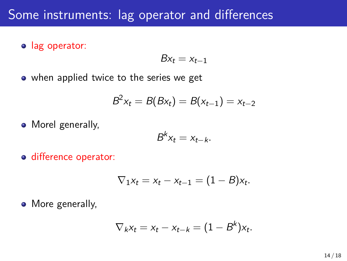## Some instruments: lag operator and differences

**o** lag operator:

$$
Bx_t=x_{t-1}
$$

• when applied twice to the series we get

$$
B^2x_t = B(Bx_t) = B(x_{t-1}) = x_{t-2}
$$

• Morel generally,

$$
B^k x_t = x_{t-k}.
$$

o difference operator:

$$
\nabla_1 x_t = x_t - x_{t-1} = (1 - B)x_t.
$$

• More generally,

$$
\nabla_k x_t = x_t - x_{t-k} = (1 - B^k)x_t.
$$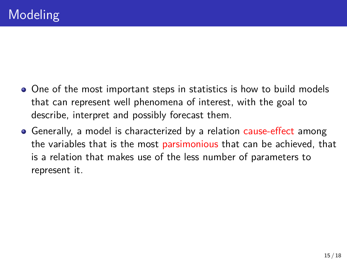- One of the most important steps in statistics is how to build models that can represent well phenomena of interest, with the goal to describe, interpret and possibly forecast them.
- Generally, a model is characterized by a relation cause-effect among the variables that is the most parsimonious that can be achieved, that is a relation that makes use of the less number of parameters to represent it.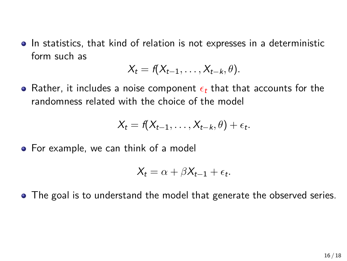• In statistics, that kind of relation is not expresses in a deterministic form such as

$$
X_t = f(X_{t-1},\ldots,X_{t-k},\theta).
$$

Rather, it includes a noise component *ϵ<sup>t</sup>* that that accounts for the randomness related with the choice of the model

$$
X_t = f(X_{t-1},\ldots,X_{t-k},\theta) + \epsilon_t.
$$

• For example, we can think of a model

$$
X_t = \alpha + \beta X_{t-1} + \epsilon_t.
$$

• The goal is to understand the model that generate the observed series.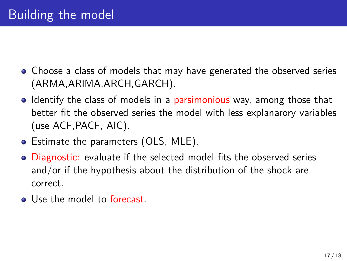- Choose a class of models that may have generated the observed series (ARMA,ARIMA,ARCH,GARCH).
- Identify the class of models in a parsimonious way, among those that better fit the observed series the model with less explanarory variables (use ACF,PACF, AIC).
- Estimate the parameters (OLS, MLE).
- Diagnostic: evaluate if the selected model fits the observed series and/or if the hypothesis about the distribution of the shock are correct.
- Use the model to forecast.